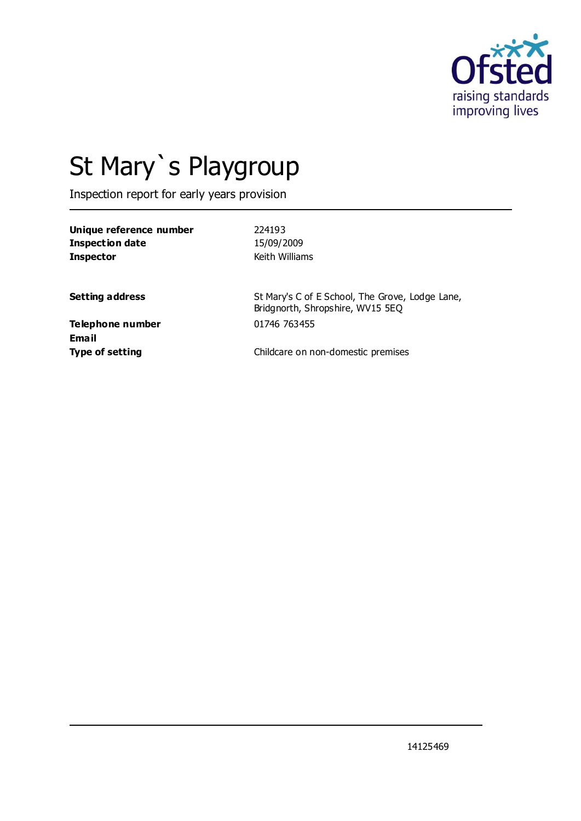

# St Mary`s Playgroup

Inspection report for early years provision

| Unique reference number | 224193         |
|-------------------------|----------------|
| Inspection date         | 15/09/2009     |
| Inspector               | Keith Williams |
|                         |                |

**Setting address** St Mary's C of E School, The Grove, Lodge Lane, Bridgnorth, Shropshire, WV15 5EQ

**Telephone number** 01746 763455 **Email**

**Type of setting** Childcare on non-domestic premises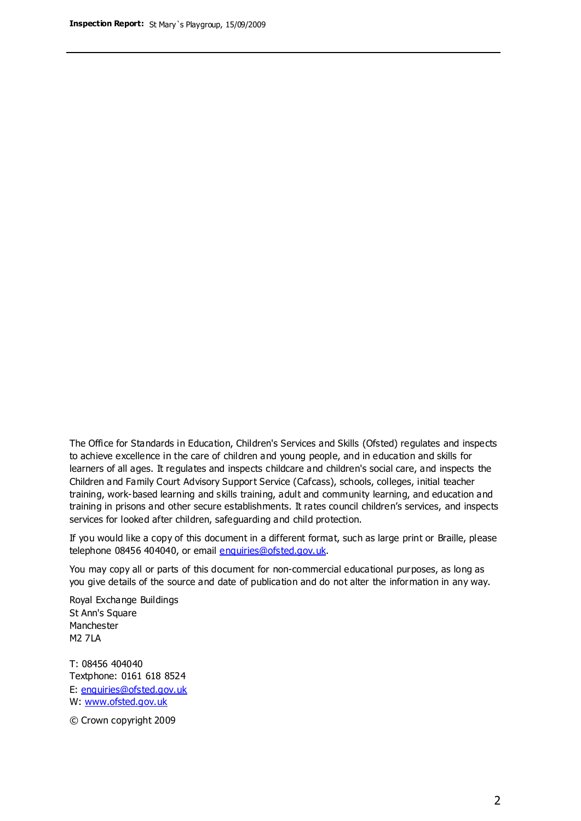The Office for Standards in Education, Children's Services and Skills (Ofsted) regulates and inspects to achieve excellence in the care of children and young people, and in education and skills for learners of all ages. It regulates and inspects childcare and children's social care, and inspects the Children and Family Court Advisory Support Service (Cafcass), schools, colleges, initial teacher training, work-based learning and skills training, adult and community learning, and education and training in prisons and other secure establishments. It rates council children's services, and inspects services for looked after children, safeguarding and child protection.

If you would like a copy of this document in a different format, such as large print or Braille, please telephone 08456 404040, or email enquiries@ofsted.gov.uk.

You may copy all or parts of this document for non-commercial educational purposes, as long as you give details of the source and date of publication and do not alter the information in any way.

Royal Exchange Buildings St Ann's Square Manchester M2 7LA

T: 08456 404040 Textphone: 0161 618 8524 E: enquiries@ofsted.gov.uk W: [www.ofsted.gov.uk](http://www.ofsted.gov.uk/)

© Crown copyright 2009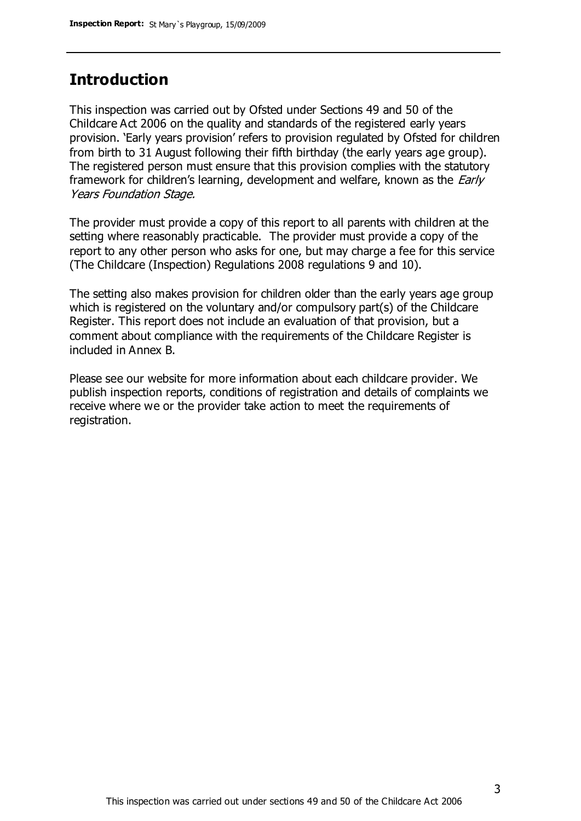## **Introduction**

This inspection was carried out by Ofsted under Sections 49 and 50 of the Childcare Act 2006 on the quality and standards of the registered early years provision. 'Early years provision' refers to provision regulated by Ofsted for children from birth to 31 August following their fifth birthday (the early years age group). The registered person must ensure that this provision complies with the statutory framework for children's learning, development and welfare, known as the *Early* Years Foundation Stage.

The provider must provide a copy of this report to all parents with children at the setting where reasonably practicable. The provider must provide a copy of the report to any other person who asks for one, but may charge a fee for this service (The Childcare (Inspection) Regulations 2008 regulations 9 and 10).

The setting also makes provision for children older than the early years age group which is registered on the voluntary and/or compulsory part(s) of the Childcare Register. This report does not include an evaluation of that provision, but a comment about compliance with the requirements of the Childcare Register is included in Annex B.

Please see our website for more information about each childcare provider. We publish inspection reports, conditions of registration and details of complaints we receive where we or the provider take action to meet the requirements of registration.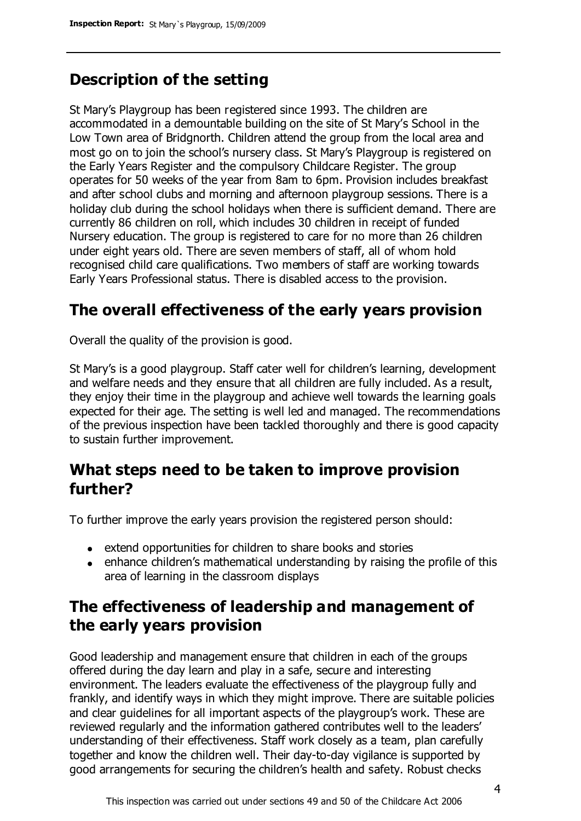# **Description of the setting**

St Mary's Playgroup has been registered since 1993. The children are accommodated in a demountable building on the site of St Mary's School in the Low Town area of Bridgnorth. Children attend the group from the local area and most go on to join the school's nursery class. St Mary's Playgroup is registered on the Early Years Register and the compulsory Childcare Register. The group operates for 50 weeks of the year from 8am to 6pm. Provision includes breakfast and after school clubs and morning and afternoon playgroup sessions. There is a holiday club during the school holidays when there is sufficient demand. There are currently 86 children on roll, which includes 30 children in receipt of funded Nursery education. The group is registered to care for no more than 26 children under eight years old. There are seven members of staff, all of whom hold recognised child care qualifications. Two members of staff are working towards Early Years Professional status. There is disabled access to the provision.

## **The overall effectiveness of the early years provision**

Overall the quality of the provision is good.

St Mary's is a good playgroup. Staff cater well for children's learning, development and welfare needs and they ensure that all children are fully included. As a result, they enjoy their time in the playgroup and achieve well towards the learning goals expected for their age. The setting is well led and managed. The recommendations of the previous inspection have been tackled thoroughly and there is good capacity to sustain further improvement.

# **What steps need to be taken to improve provision further?**

To further improve the early years provision the registered person should:

- extend opportunities for children to share books and stories
- enhance children's mathematical understanding by raising the profile of this area of learning in the classroom displays

## **The effectiveness of leadership and management of the early years provision**

Good leadership and management ensure that children in each of the groups offered during the day learn and play in a safe, secure and interesting environment. The leaders evaluate the effectiveness of the playgroup fully and frankly, and identify ways in which they might improve. There are suitable policies and clear guidelines for all important aspects of the playgroup's work. These are reviewed regularly and the information gathered contributes well to the leaders' understanding of their effectiveness. Staff work closely as a team, plan carefully together and know the children well. Their day-to-day vigilance is supported by good arrangements for securing the children's health and safety. Robust checks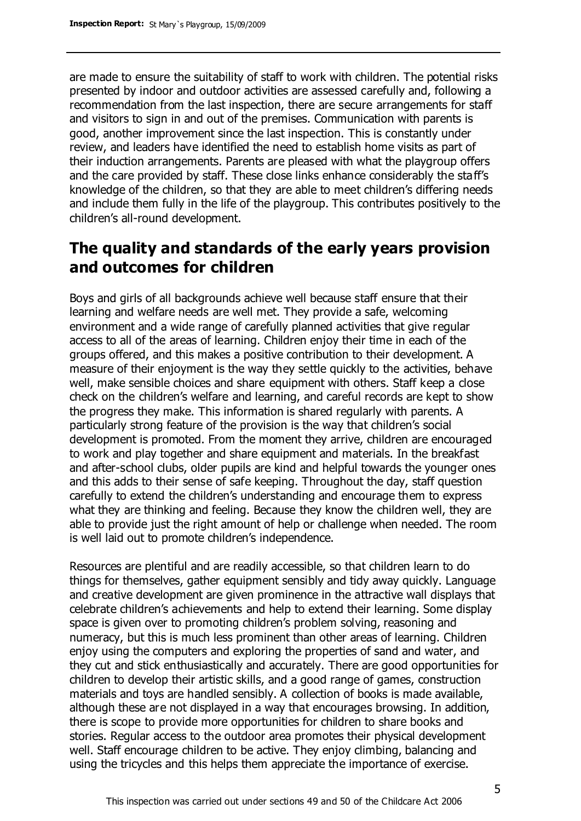are made to ensure the suitability of staff to work with children. The potential risks presented by indoor and outdoor activities are assessed carefully and, following a recommendation from the last inspection, there are secure arrangements for staff and visitors to sign in and out of the premises. Communication with parents is good, another improvement since the last inspection. This is constantly under review, and leaders have identified the need to establish home visits as part of their induction arrangements. Parents are pleased with what the playgroup offers and the care provided by staff. These close links enhance considerably the staff's knowledge of the children, so that they are able to meet children's differing needs and include them fully in the life of the playgroup. This contributes positively to the children's all-round development.

# **The quality and standards of the early years provision and outcomes for children**

Boys and girls of all backgrounds achieve well because staff ensure that their learning and welfare needs are well met. They provide a safe, welcoming environment and a wide range of carefully planned activities that give regular access to all of the areas of learning. Children enjoy their time in each of the groups offered, and this makes a positive contribution to their development. A measure of their enjoyment is the way they settle quickly to the activities, behave well, make sensible choices and share equipment with others. Staff keep a close check on the children's welfare and learning, and careful records are kept to show the progress they make. This information is shared regularly with parents. A particularly strong feature of the provision is the way that children's social development is promoted. From the moment they arrive, children are encouraged to work and play together and share equipment and materials. In the breakfast and after-school clubs, older pupils are kind and helpful towards the younger ones and this adds to their sense of safe keeping. Throughout the day, staff question carefully to extend the children's understanding and encourage them to express what they are thinking and feeling. Because they know the children well, they are able to provide just the right amount of help or challenge when needed. The room is well laid out to promote children's independence.

Resources are plentiful and are readily accessible, so that children learn to do things for themselves, gather equipment sensibly and tidy away quickly. Language and creative development are given prominence in the attractive wall displays that celebrate children's achievements and help to extend their learning. Some display space is given over to promoting children's problem solving, reasoning and numeracy, but this is much less prominent than other areas of learning. Children enjoy using the computers and exploring the properties of sand and water, and they cut and stick enthusiastically and accurately. There are good opportunities for children to develop their artistic skills, and a good range of games, construction materials and toys are handled sensibly. A collection of books is made available, although these are not displayed in a way that encourages browsing. In addition, there is scope to provide more opportunities for children to share books and stories. Regular access to the outdoor area promotes their physical development well. Staff encourage children to be active. They enjoy climbing, balancing and using the tricycles and this helps them appreciate the importance of exercise.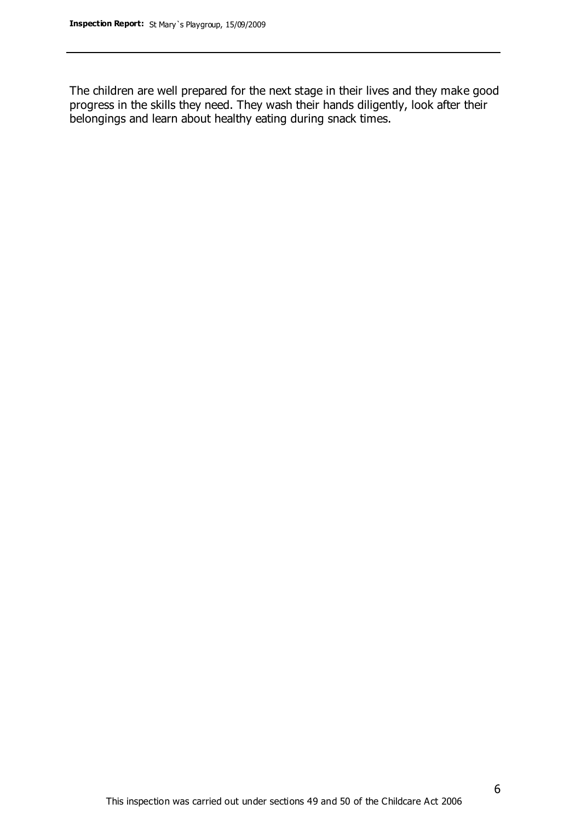The children are well prepared for the next stage in their lives and they make good progress in the skills they need. They wash their hands diligently, look after their belongings and learn about healthy eating during snack times.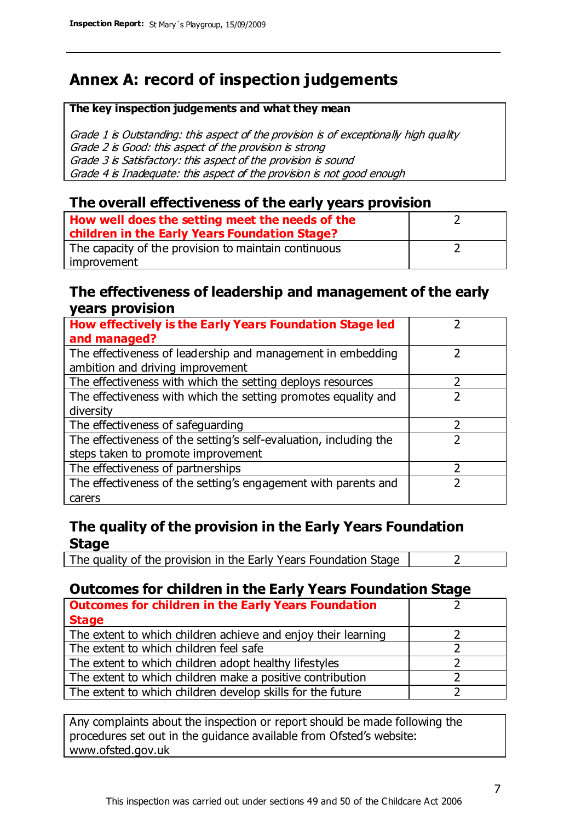# **Annex A: record of inspection judgements**

#### **The key inspection judgements and what they mean**

Grade 1 is Outstanding: this aspect of the provision is of exceptionally high quality Grade 2 is Good: this aspect of the provision is strong Grade 3 is Satisfactory: this aspect of the provision is sound Grade 4 is Inadequate: this aspect of the provision is not good enough

#### **The overall effectiveness of the early years provision**

| How well does the setting meet the needs of the<br>children in the Early Years Foundation Stage? |  |
|--------------------------------------------------------------------------------------------------|--|
| The capacity of the provision to maintain continuous                                             |  |
| improvement                                                                                      |  |

#### **The effectiveness of leadership and management of the early years provision**

| How effectively is the Early Years Foundation Stage led                                         |   |
|-------------------------------------------------------------------------------------------------|---|
| and managed?                                                                                    |   |
| The effectiveness of leadership and management in embedding<br>ambition and driving improvement |   |
| The effectiveness with which the setting deploys resources                                      |   |
| The effectiveness with which the setting promotes equality and                                  |   |
| diversity                                                                                       |   |
| The effectiveness of safeguarding                                                               | 2 |
| The effectiveness of the setting's self-evaluation, including the                               | 2 |
| steps taken to promote improvement                                                              |   |
| The effectiveness of partnerships                                                               |   |
| The effectiveness of the setting's engagement with parents and                                  |   |
| carers                                                                                          |   |

### **The quality of the provision in the Early Years Foundation Stage**

The quality of the provision in the Early Years Foundation Stage  $\vert$  2

## **Outcomes for children in the Early Years Foundation Stage**

| <b>Outcomes for children in the Early Years Foundation</b>    |  |
|---------------------------------------------------------------|--|
| <b>Stage</b>                                                  |  |
| The extent to which children achieve and enjoy their learning |  |
| The extent to which children feel safe                        |  |
| The extent to which children adopt healthy lifestyles         |  |
| The extent to which children make a positive contribution     |  |
| The extent to which children develop skills for the future    |  |

Any complaints about the inspection or report should be made following the procedures set out in the guidance available from Ofsted's website: www.ofsted.gov.uk